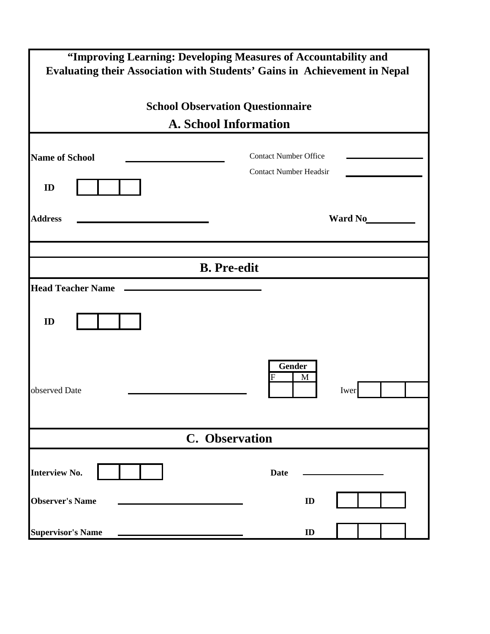| "Improving Learning: Developing Measures of Accountability and<br>Evaluating their Association with Students' Gains in Achievement in Nepal |                                                               |  |  |  |  |  |
|---------------------------------------------------------------------------------------------------------------------------------------------|---------------------------------------------------------------|--|--|--|--|--|
| <b>School Observation Questionnaire</b><br><b>A. School Information</b>                                                                     |                                                               |  |  |  |  |  |
|                                                                                                                                             |                                                               |  |  |  |  |  |
| <b>Name of School</b>                                                                                                                       | <b>Contact Number Office</b><br><b>Contact Number Headsir</b> |  |  |  |  |  |
| ID                                                                                                                                          |                                                               |  |  |  |  |  |
| <b>Address</b>                                                                                                                              | Ward No                                                       |  |  |  |  |  |
|                                                                                                                                             |                                                               |  |  |  |  |  |
|                                                                                                                                             | <b>B.</b> Pre-edit                                            |  |  |  |  |  |
| <b>Head Teacher Name</b>                                                                                                                    |                                                               |  |  |  |  |  |
| ID                                                                                                                                          |                                                               |  |  |  |  |  |
| observed Date                                                                                                                               | Gender<br>M<br>F<br>Iwer                                      |  |  |  |  |  |
| C. Observation                                                                                                                              |                                                               |  |  |  |  |  |
| <b>Interview No.</b>                                                                                                                        | <b>Date</b>                                                   |  |  |  |  |  |
| <b>Observer's Name</b>                                                                                                                      | ID                                                            |  |  |  |  |  |
| <b>Supervisor's Name</b>                                                                                                                    | ID                                                            |  |  |  |  |  |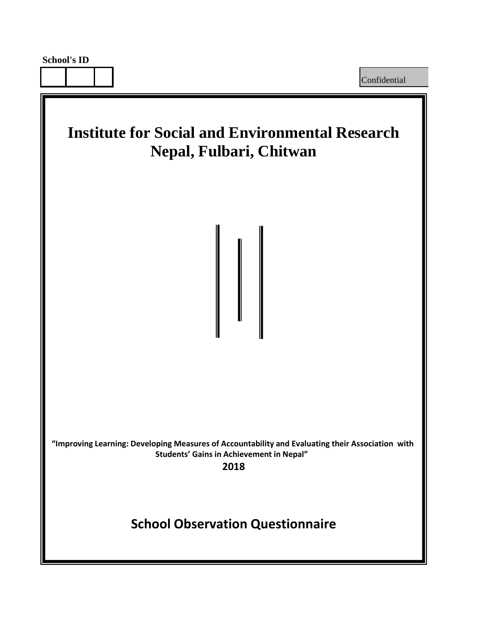Confidential

## **Institute for Social and Environmental Research Nepal, Fulbari, Chitwan**

**"Improving Learning: Developing Measures of Accountability and Evaluating their Association with Students' Gains in Achievement in Nepal"** 

**2018**

## **School Observation Questionnaire**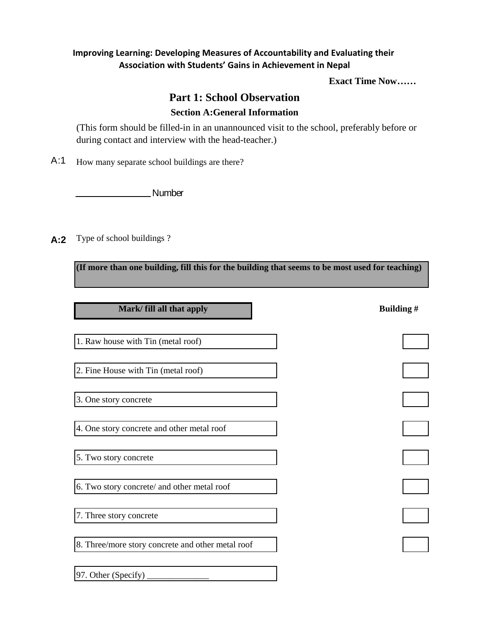## **Improving Learning: Developing Measures of Accountability and Evaluating their Association with Students' Gains in Achievement in Nepal**

**Exact Time Now……**

## **Part 1: School Observation Section A:General Information**

(This form should be filled-in in an unannounced visit to the school, preferably before or during contact and interview with the head-teacher.)

A:1 How many separate school buildings are there?

**Number** Number

A:2 Type of school buildings?

**(If more than one building, fill this for the building that seems to be most used for teaching)**

| Mark/ fill all that apply                         | Building# |
|---------------------------------------------------|-----------|
| 1. Raw house with Tin (metal roof)                |           |
| 2. Fine House with Tin (metal roof)               |           |
| 3. One story concrete                             |           |
| 4. One story concrete and other metal roof        |           |
| 5. Two story concrete                             |           |
| 6. Two story concrete/ and other metal roof       |           |
| 7. Three story concrete                           |           |
| 8. Three/more story concrete and other metal roof |           |
| 97. Other (Specify)                               |           |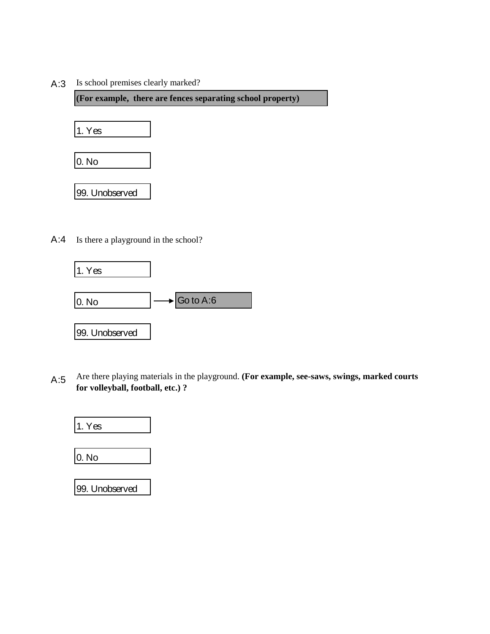A:3 Is school premises clearly marked?

**(For example, there are fences separating school property)**



A:4 Is there a playground in the school?



A:5 Are there playing materials in the playground. **(For example, see-saws, swings, marked courts for volleyball, football, etc.) ?**



| 99. Unobserved |
|----------------|
|                |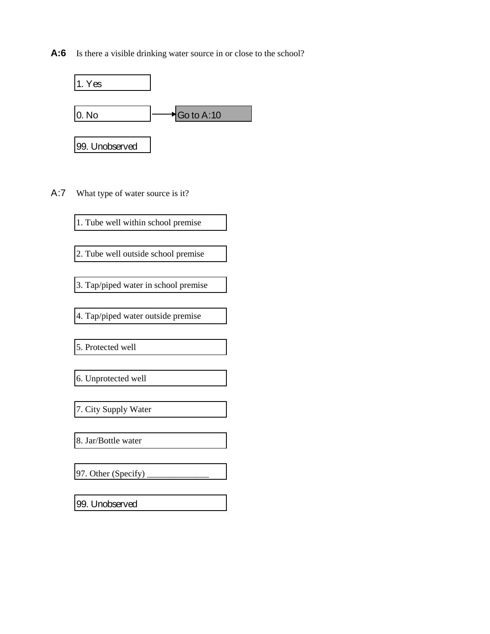A:6 Is there a visible drinking water source in or close to the school?



A:7 What type of water source is it?

1. Tube well within school premise

2. Tube well outside school premise

3. Tap/piped water in school premise

4. Tap/piped water outside premise

5. Protected well

6. Unprotected well

7. City Supply Water

8. Jar/Bottle water

97. Other (Specify)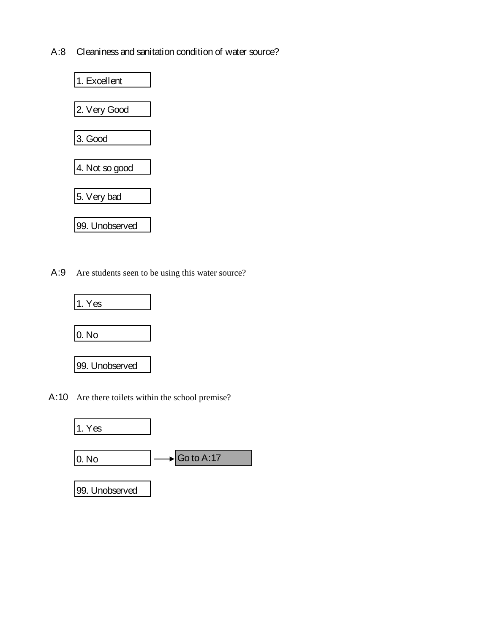A:8 Cleaniness and sanitation condition of water source?



A:9 Are students seen to be using this water source?



A:10 Are there toilets within the school premise?

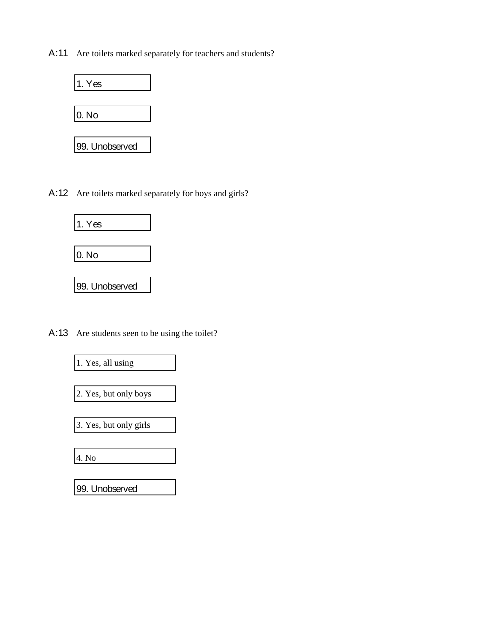A:11 Are toilets marked separately for teachers and students?



A:12 Are toilets marked separately for boys and girls?



A:13 Are students seen to be using the toilet?

1. Yes, all using

2. Yes, but only boys

3. Yes, but only girls

4. No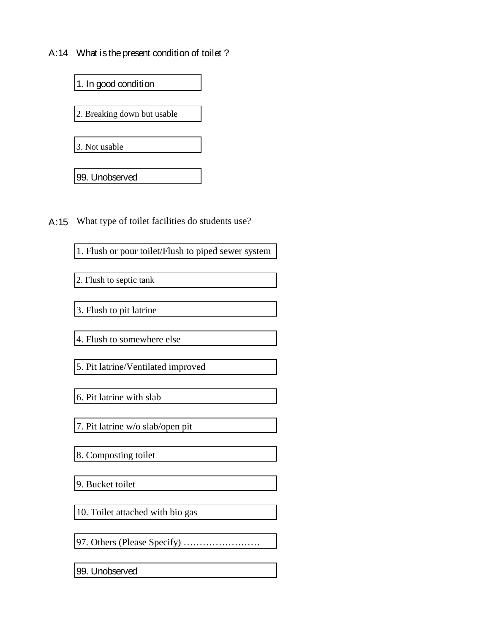A:14 What is the present condition of toilet?



A:15 What type of toilet facilities do students use?

1. Flush or pour toilet/Flush to piped sewer system

2. Flush to septic tank

3. Flush to pit latrine

4. Flush to somewhere else

5. Pit latrine/Ventilated improved

6. Pit latrine with slab

7. Pit latrine w/o slab/open pit

8. Composting toilet

9. Bucket toilet

10. Toilet attached with bio gas

97. Others (Please Specify) ……………………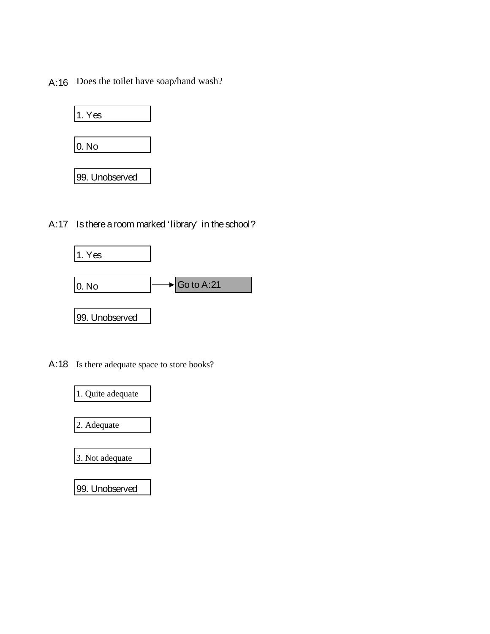A:16 Does the toilet have soap/hand wash?



A:17 Is there a room marked 'library' in the school?



A:18 Is there adequate space to store books?

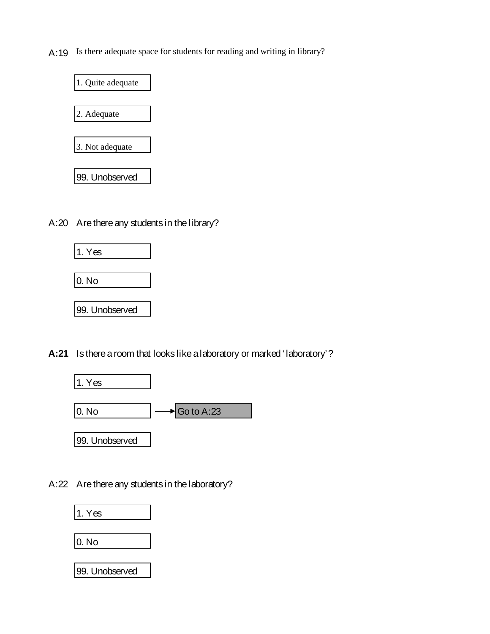A:19 Is there adequate space for students for reading and writing in library?



A:20 Are there any students in the library?



**A:21** Is there a room that looks like a laboratory or marked 'laboratory'?



A:22 Are there any students in the laboratory?

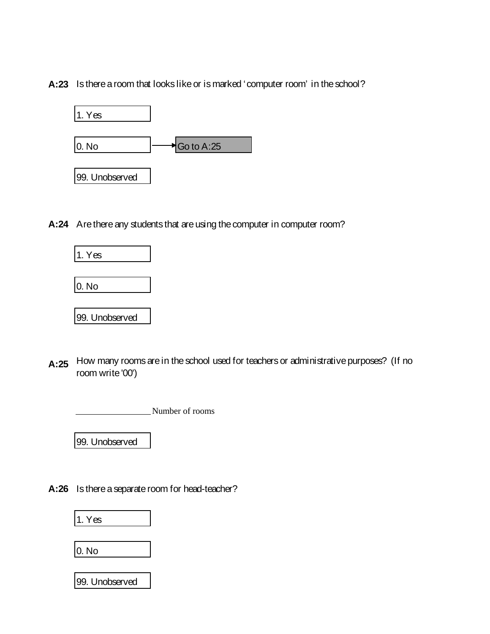**A:23** Is there a room that looks like or is marked 'computer room' in the school?



**A:24** Are there any students that are using the computer in computer room?



A:25 How many rooms are in the school used for teachers or administrative purposes? (If no room write '00')

Number of rooms

99. Unobserved

**A:26** Is there a separate room for head-teacher?

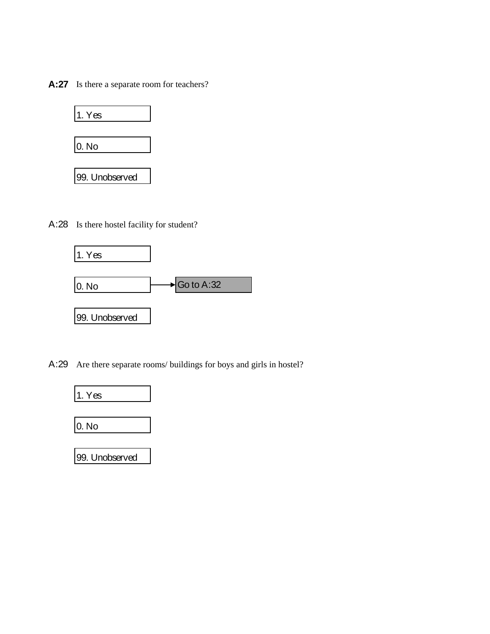A:27 Is there a separate room for teachers?



A:28 Is there hostel facility for student?



A:29 Are there separate rooms/ buildings for boys and girls in hostel?

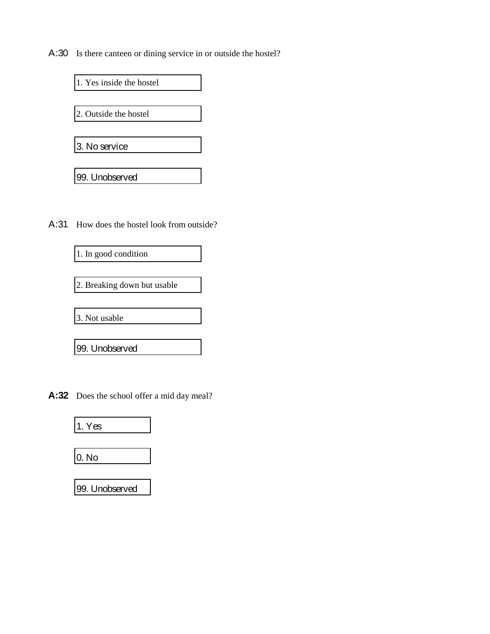A:30 Is there canteen or dining service in or outside the hostel?



A:31 How does the hostel look from outside?



2. Breaking down but usable

3. Not usable

99. Unobserved

**A:32** Does the school offer a mid day meal?

| 1. Yes |  |
|--------|--|
|        |  |
| 0. No  |  |
|        |  |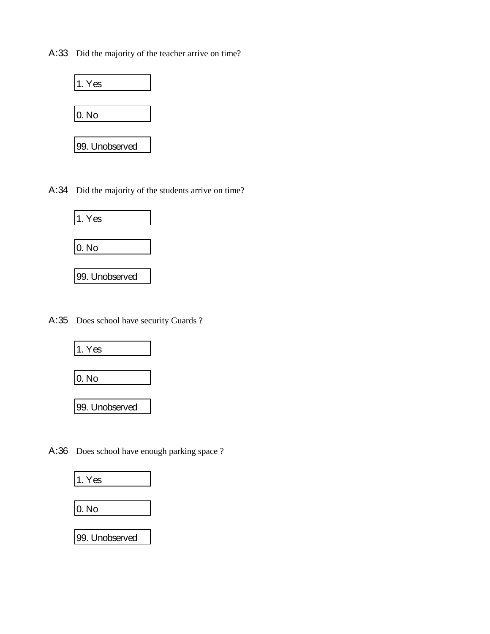A:33 Did the majority of the teacher arrive on time?



A:34 Did the majority of the students arrive on time?



A:35 Does school have security Guards ?



A:36 Does school have enough parking space ?

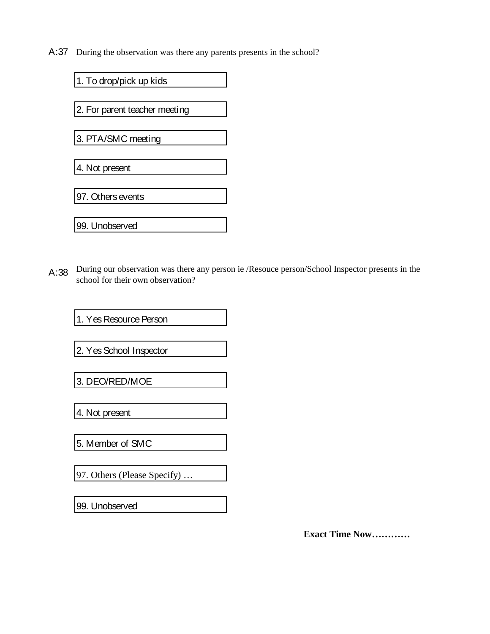A:37 During the observation was there any parents presents in the school?

1. To drop/pick up kids 2. For parent teacher meeting 3. PTA/SMC meeting 4. Not present 97. Others events 99. Unobserved

A:38 During our observation was there any person ie /Resouce person/School Inspector presents in the school for their own observation?

1. Yes Resource Person

2. Yes School Inspector

3. DEO/RED/MOE

4. Not present

5. Member of SMC

97. Others (Please Specify) …

99. Unobserved

**Exact Time Now…………**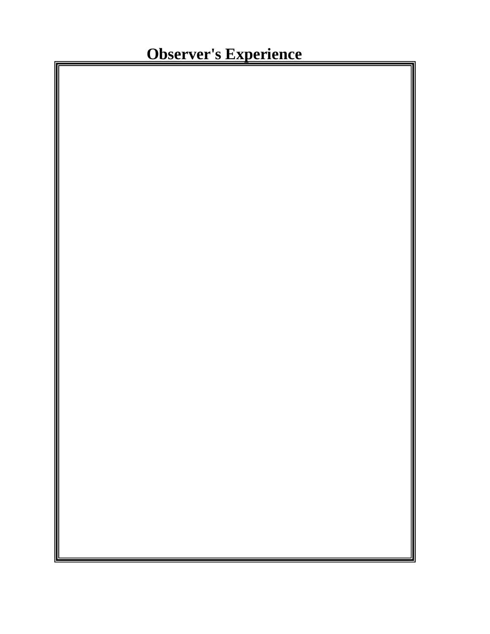**Observer's Experience**